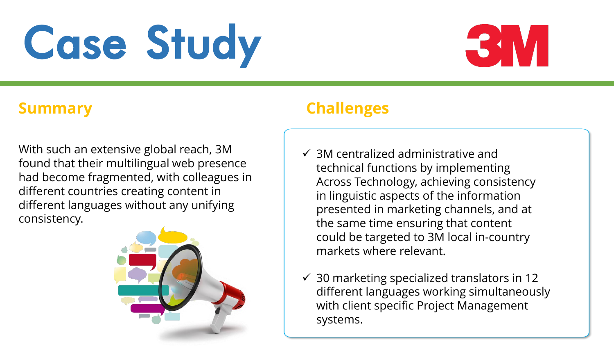# Case Study



With such an extensive global reach, 3M found that their multilingual web presence had become fragmented, with colleagues in different countries creating content in different languages without any unifying consistency.



# **Summary Challenges**

- $\checkmark$  3M centralized administrative and technical functions by implementing Across Technology, achieving consistency in linguistic aspects of the information presented in marketing channels, and at the same time ensuring that content could be targeted to 3M local in-country markets where relevant.
- $\checkmark$  30 marketing specialized translators in 12 different languages working simultaneously with client specific Project Management systems.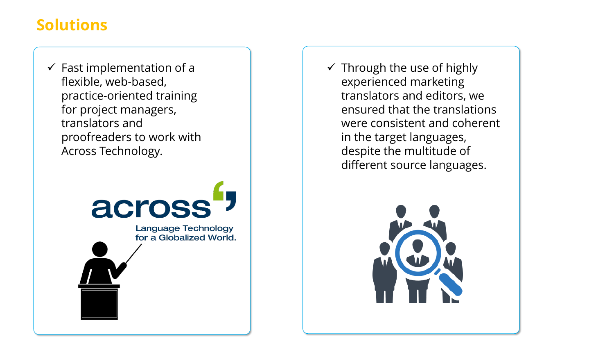## **Solutions**

 $\checkmark$  Fast implementation of a flexible, web-based, practice-oriented training for project managers, translators and proofreaders to work with Across Technology.



 $\checkmark$  Through the use of highly experienced marketing translators and editors, we ensured that the translations were consistent and coherent in the target languages, despite the multitude of different source languages.